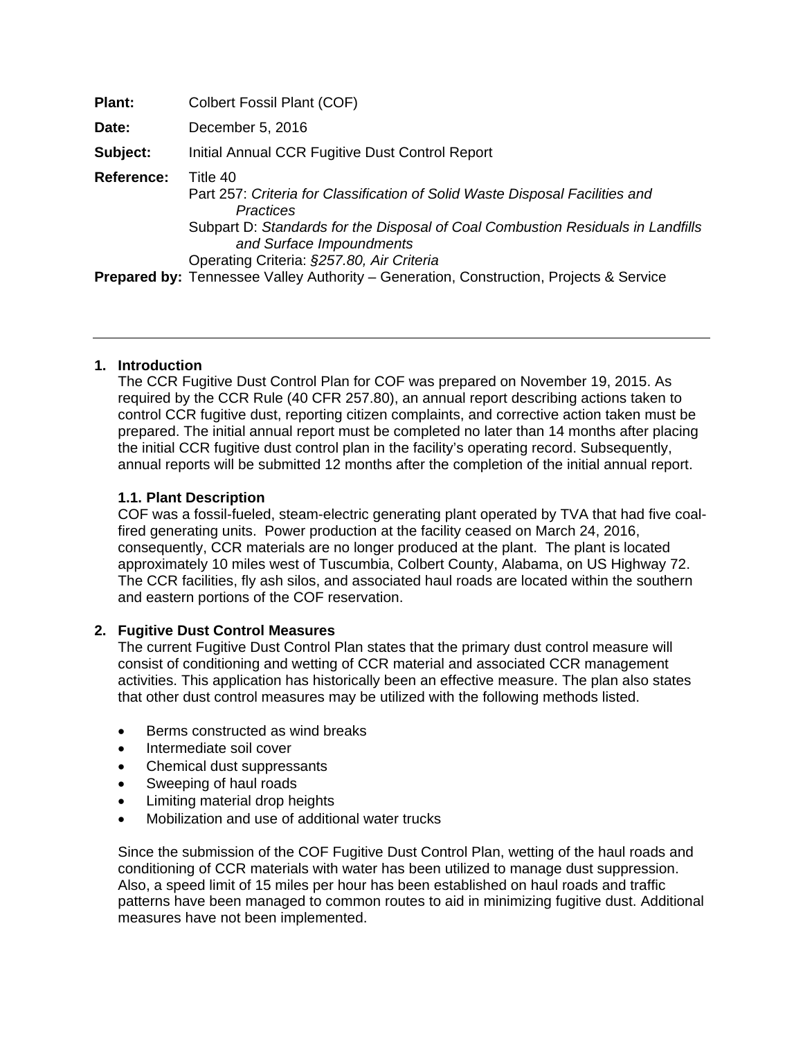| Plant:            | Colbert Fossil Plant (COF)                                                                                                                                                                                                                                        |
|-------------------|-------------------------------------------------------------------------------------------------------------------------------------------------------------------------------------------------------------------------------------------------------------------|
| Date:             | December 5, 2016                                                                                                                                                                                                                                                  |
| Subject:          | Initial Annual CCR Fugitive Dust Control Report                                                                                                                                                                                                                   |
| <b>Reference:</b> | Title 40<br>Part 257: Criteria for Classification of Solid Waste Disposal Facilities and<br>Practices<br>Subpart D: Standards for the Disposal of Coal Combustion Residuals in Landfills<br>and Surface Impoundments<br>Operating Criteria: §257.80, Air Criteria |
|                   | <b>Prepared by:</b> Tennessee Valley Authority – Generation, Construction, Projects & Service                                                                                                                                                                     |

## **1. Introduction**

The CCR Fugitive Dust Control Plan for COF was prepared on November 19, 2015. As required by the CCR Rule (40 CFR 257.80), an annual report describing actions taken to control CCR fugitive dust, reporting citizen complaints, and corrective action taken must be prepared. The initial annual report must be completed no later than 14 months after placing the initial CCR fugitive dust control plan in the facility's operating record. Subsequently, annual reports will be submitted 12 months after the completion of the initial annual report.

# **1.1. Plant Description**

COF was a fossil-fueled, steam-electric generating plant operated by TVA that had five coalfired generating units. Power production at the facility ceased on March 24, 2016, consequently, CCR materials are no longer produced at the plant. The plant is located approximately 10 miles west of Tuscumbia, Colbert County, Alabama, on US Highway 72. The CCR facilities, fly ash silos, and associated haul roads are located within the southern and eastern portions of the COF reservation.

## **2. Fugitive Dust Control Measures**

The current Fugitive Dust Control Plan states that the primary dust control measure will consist of conditioning and wetting of CCR material and associated CCR management activities. This application has historically been an effective measure. The plan also states that other dust control measures may be utilized with the following methods listed.

- Berms constructed as wind breaks
- Intermediate soil cover
- Chemical dust suppressants
- Sweeping of haul roads
- Limiting material drop heights
- Mobilization and use of additional water trucks

Since the submission of the COF Fugitive Dust Control Plan, wetting of the haul roads and conditioning of CCR materials with water has been utilized to manage dust suppression. Also, a speed limit of 15 miles per hour has been established on haul roads and traffic patterns have been managed to common routes to aid in minimizing fugitive dust. Additional measures have not been implemented.